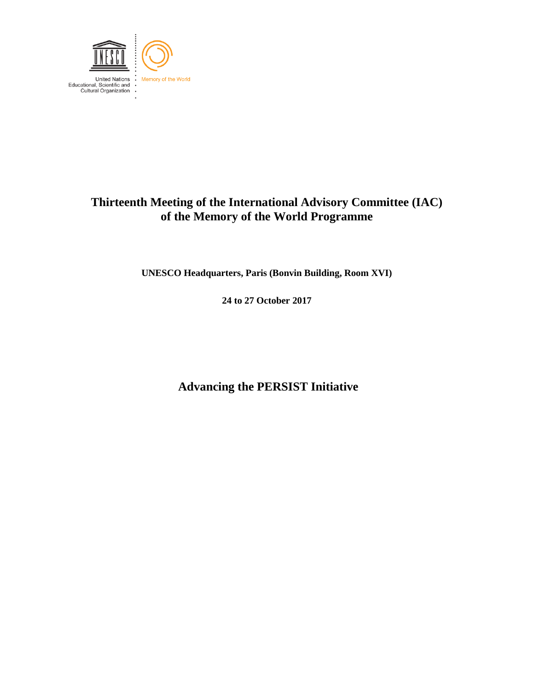

# **Thirteenth Meeting of the International Advisory Committee (IAC) of the Memory of the World Programme**

**UNESCO Headquarters, Paris (Bonvin Building, Room XVI)**

**24 to 27 October 2017**

**Advancing the PERSIST Initiative**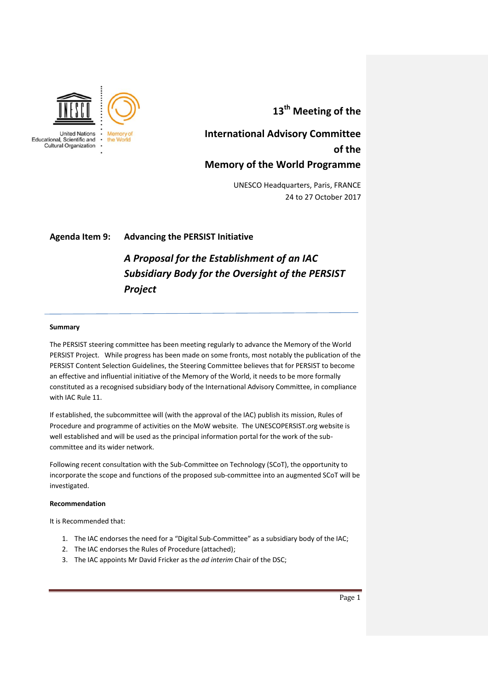

**13th Meeting of the** 

# **International Advisory Committee of the Memory of the World Programme**

UNESCO Headquarters, Paris, FRANCE 24 to 27 October 2017

# **Agenda Item 9: Advancing the PERSIST Initiative**

# *A Proposal for the Establishment of an IAC Subsidiary Body for the Oversight of the PERSIST Project*

#### **Summary**

The PERSIST steering committee has been meeting regularly to advance the Memory of the World PERSIST Project. While progress has been made on some fronts, most notably the publication of the PERSIST Content Selection Guidelines, the Steering Committee believes that for PERSIST to become an effective and influential initiative of the Memory of the World, it needs to be more formally constituted as a recognised subsidiary body of the International Advisory Committee, in compliance with IAC Rule 11.

If established, the subcommittee will (with the approval of the IAC) publish its mission, Rules of Procedure and programme of activities on the MoW website. The UNESCOPERSIST.org website is well established and will be used as the principal information portal for the work of the subcommittee and its wider network.

Following recent consultation with the Sub-Committee on Technology (SCoT), the opportunity to incorporate the scope and functions of the proposed sub-committee into an augmented SCoT will be investigated.

#### **Recommendation**

It is Recommended that:

- 1. The IAC endorses the need for a "Digital Sub-Committee" as a subsidiary body of the IAC;
- 2. The IAC endorses the Rules of Procedure (attached);
- 3. The IAC appoints Mr David Fricker as the *ad interim* Chair of the DSC;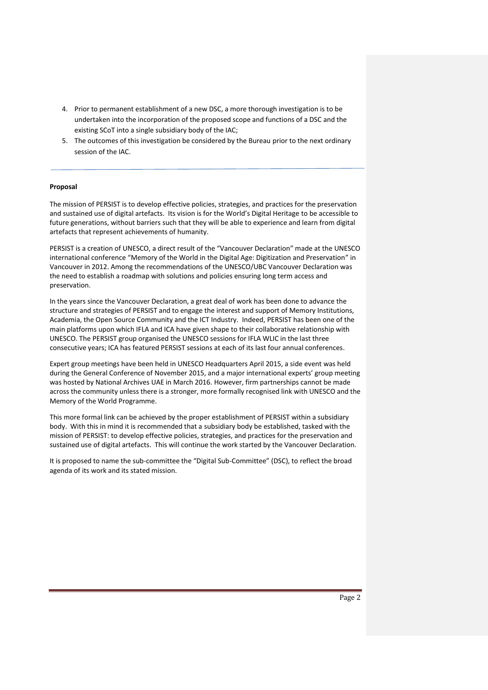- 4. Prior to permanent establishment of a new DSC, a more thorough investigation is to be undertaken into the incorporation of the proposed scope and functions of a DSC and the existing SCoT into a single subsidiary body of the IAC;
- 5. The outcomes of this investigation be considered by the Bureau prior to the next ordinary session of the IAC.

#### **Proposal**

The mission of PERSIST is to develop effective policies, strategies, and practices for the preservation and sustained use of digital artefacts. Its vision is for the World's Digital Heritage to be accessible to future generations, without barriers such that they will be able to experience and learn from digital artefacts that represent achievements of humanity.

PERSIST is a creation of UNESCO, a direct result of the "Vancouver Declaration" made at the UNESCO international conference "Memory of the World in the Digital Age: Digitization and Preservation" in Vancouver in 2012. Among the recommendations of the UNESCO/UBC Vancouver Declaration was the need to establish a roadmap with solutions and policies ensuring long term access and preservation.

In the years since the Vancouver Declaration, a great deal of work has been done to advance the structure and strategies of PERSIST and to engage the interest and support of Memory Institutions, Academia, the Open Source Community and the ICT Industry. Indeed, PERSIST has been one of the main platforms upon which IFLA and ICA have given shape to their collaborative relationship with UNESCO. The PERSIST group organised the UNESCO sessions for IFLA WLIC in the last three consecutive years; ICA has featured PERSIST sessions at each of its last four annual conferences.

Expert group meetings have been held in UNESCO Headquarters April 2015, a side event was held during the General Conference of November 2015, and a major international experts' group meeting was hosted by National Archives UAE in March 2016. However, firm partnerships cannot be made across the community unless there is a stronger, more formally recognised link with UNESCO and the Memory of the World Programme.

This more formal link can be achieved by the proper establishment of PERSIST within a subsidiary body. With this in mind it is recommended that a subsidiary body be established, tasked with the mission of PERSIST: to develop effective policies, strategies, and practices for the preservation and sustained use of digital artefacts. This will continue the work started by the Vancouver Declaration.

It is proposed to name the sub-committee the "Digital Sub-Committee" (DSC), to reflect the broad agenda of its work and its stated mission.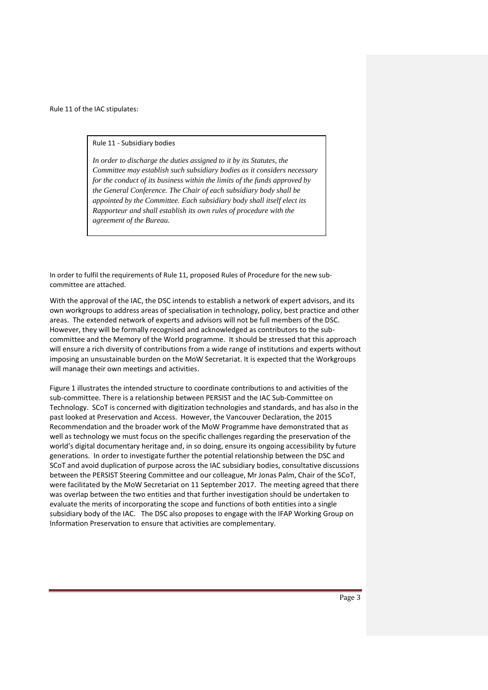Rule 11 of the IAC stipulates:

Rule 11 - Subsidiary bodies

*In order to discharge the duties assigned to it by its Statutes, the Committee may establish such subsidiary bodies as it considers necessary for the conduct of its business within the limits of the funds approved by the General Conference. The Chair of each subsidiary body shall be appointed by the Committee. Each subsidiary body shall itself elect its Rapporteur and shall establish its own rules of procedure with the agreement of the Bureau.*

In order to fulfil the requirements of Rule 11, proposed Rules of Procedure for the new subcommittee are attached.

With the approval of the IAC, the DSC intends to establish a network of expert advisors, and its own workgroups to address areas of specialisation in technology, policy, best practice and other areas. The extended network of experts and advisors will not be full members of the DSC. However, they will be formally recognised and acknowledged as contributors to the subcommittee and the Memory of the World programme. It should be stressed that this approach will ensure a rich diversity of contributions from a wide range of institutions and experts without imposing an unsustainable burden on the MoW Secretariat. It is expected that the Workgroups will manage their own meetings and activities.

Figure 1 illustrates the intended structure to coordinate contributions to and activities of the sub-committee. There is a relationship between PERSIST and the IAC Sub-Committee on Technology. SCoT is concerned with digitization technologies and standards, and has also in the past looked at Preservation and Access. However, the Vancouver Declaration, the 2015 Recommendation and the broader work of the MoW Programme have demonstrated that as well as technology we must focus on the specific challenges regarding the preservation of the world's digital documentary heritage and, in so doing, ensure its ongoing accessibility by future generations. In order to investigate further the potential relationship between the DSC and SCoT and avoid duplication of purpose across the IAC subsidiary bodies, consultative discussions between the PERSIST Steering Committee and our colleague, Mr Jonas Palm, Chair of the SCoT, were facilitated by the MoW Secretariat on 11 September 2017. The meeting agreed that there was overlap between the two entities and that further investigation should be undertaken to evaluate the merits of incorporating the scope and functions of both entities into a single subsidiary body of the IAC. The DSC also proposes to engage with the IFAP Working Group on Information Preservation to ensure that activities are complementary.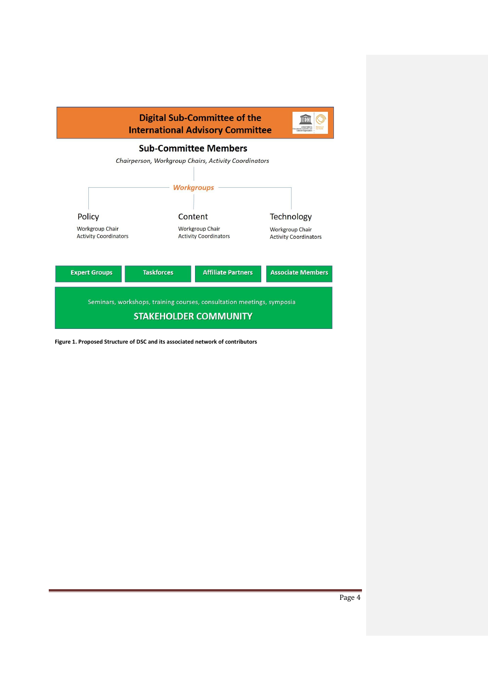

**Figure 1. Proposed Structure of DSC and its associated network of contributors**

Page 4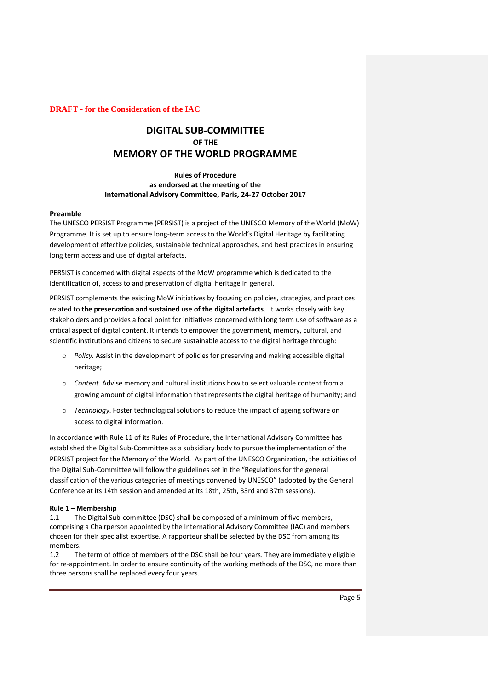### **DRAFT - for the Consideration of the IAC**

# **DIGITAL SUB-COMMITTEE OF THE MEMORY OF THE WORLD PROGRAMME**

# **Rules of Procedure as endorsed at the meeting of the International Advisory Committee, Paris, 24-27 October 2017**

#### **Preamble**

The UNESCO PERSIST Programme (PERSIST) is a project of the UNESCO Memory of the World (MoW) Programme. It is set up to ensure long-term access to the World's Digital Heritage by facilitating development of effective policies, sustainable technical approaches, and best practices in ensuring long term access and use of digital artefacts.

PERSIST is concerned with digital aspects of the MoW programme which is dedicated to the identification of, access to and preservation of digital heritage in general.

PERSIST complements the existing MoW initiatives by focusing on policies, strategies, and practices related to **the preservation and sustained use of the digital artefacts**. It works closely with key stakeholders and provides a focal point for initiatives concerned with long term use of software as a critical aspect of digital content. It intends to empower the government, memory, cultural, and scientific institutions and citizens to secure sustainable access to the digital heritage through:

- o *Policy.* Assist in the development of policies for preserving and making accessible digital heritage;
- o *Content.* Advise memory and cultural institutions how to select valuable content from a growing amount of digital information that represents the digital heritage of humanity; and
- o *Technology*. Foster technological solutions to reduce the impact of ageing software on access to digital information.

In accordance with Rule 11 of its Rules of Procedure, the International Advisory Committee has established the Digital Sub-Committee as a subsidiary body to pursue the implementation of the PERSIST project for the Memory of the World. As part of the UNESCO Organization, the activities of the Digital Sub-Committee will follow the guidelines set in the "Regulations for the general classification of the various categories of meetings convened by UNESCO" (adopted by the General Conference at its 14th session and amended at its 18th, 25th, 33rd and 37th sessions).

#### **Rule 1 – Membership**

1.1 The Digital Sub-committee (DSC) shall be composed of a minimum of five members, comprising a Chairperson appointed by the International Advisory Committee (IAC) and members chosen for their specialist expertise. A rapporteur shall be selected by the DSC from among its members.

1.2 The term of office of members of the DSC shall be four years. They are immediately eligible for re-appointment. In order to ensure continuity of the working methods of the DSC, no more than three persons shall be replaced every four years.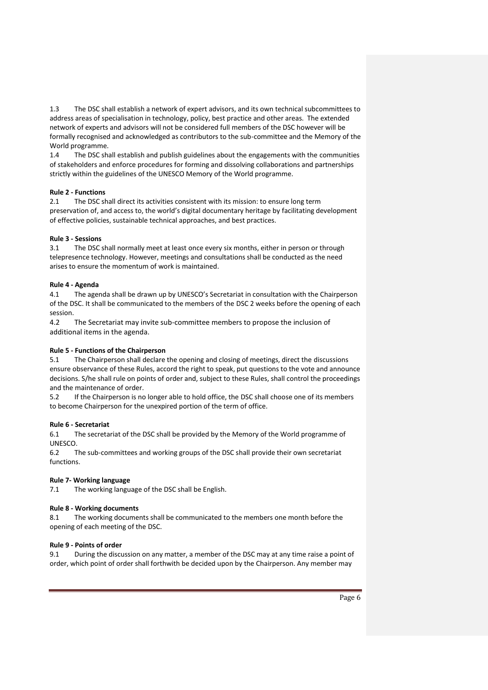1.3 The DSC shall establish a network of expert advisors, and its own technical subcommittees to address areas of specialisation in technology, policy, best practice and other areas. The extended network of experts and advisors will not be considered full members of the DSC however will be formally recognised and acknowledged as contributors to the sub-committee and the Memory of the World programme.

1.4 The DSC shall establish and publish guidelines about the engagements with the communities of stakeholders and enforce procedures for forming and dissolving collaborations and partnerships strictly within the guidelines of the UNESCO Memory of the World programme.

# **Rule 2 - Functions**

2.1 The DSC shall direct its activities consistent with its mission: to ensure long term preservation of, and access to, the world's digital documentary heritage by facilitating development of effective policies, sustainable technical approaches, and best practices.

# **Rule 3 - Sessions**

3.1 The DSC shall normally meet at least once every six months, either in person or through telepresence technology. However, meetings and consultations shall be conducted as the need arises to ensure the momentum of work is maintained.

# **Rule 4 - Agenda**

4.1 The agenda shall be drawn up by UNESCO's Secretariat in consultation with the Chairperson of the DSC. It shall be communicated to the members of the DSC 2 weeks before the opening of each session.

4.2 The Secretariat may invite sub-committee members to propose the inclusion of additional items in the agenda.

# **Rule 5 - Functions of the Chairperson**

5.1 The Chairperson shall declare the opening and closing of meetings, direct the discussions ensure observance of these Rules, accord the right to speak, put questions to the vote and announce decisions. S/he shall rule on points of order and, subject to these Rules, shall control the proceedings and the maintenance of order.

5.2 If the Chairperson is no longer able to hold office, the DSC shall choose one of its members to become Chairperson for the unexpired portion of the term of office.

#### **Rule 6 - Secretariat**

6.1 The secretariat of the DSC shall be provided by the Memory of the World programme of UNESCO.

6.2 The sub-committees and working groups of the DSC shall provide their own secretariat functions.

# **Rule 7- Working language**

7.1 The working language of the DSC shall be English.

#### **Rule 8 - Working documents**

8.1 The working documents shall be communicated to the members one month before the opening of each meeting of the DSC.

#### **Rule 9 - Points of order**

9.1 During the discussion on any matter, a member of the DSCmay at any time raise a point of order, which point of order shall forthwith be decided upon by the Chairperson. Any member may